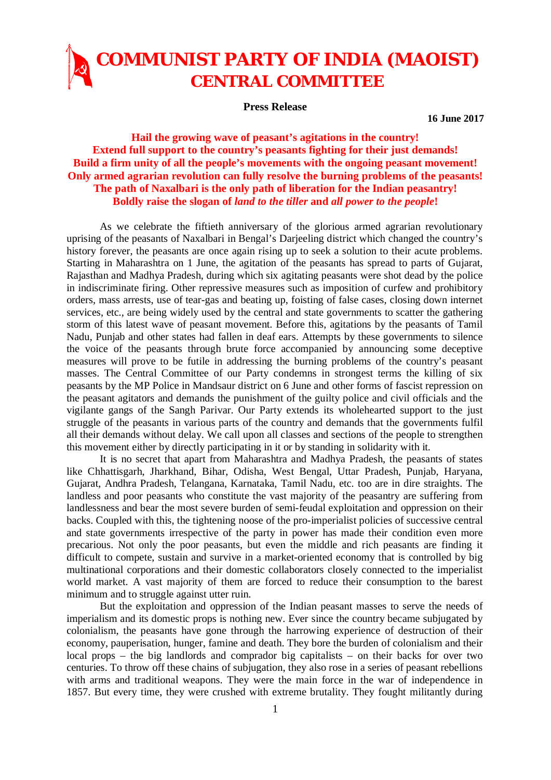## **COMMUNIST PARTY OF INDIA (MAOIST) CENTRAL COMMITTEE**

**Press Release**

**16 June 2017**

**Hail the growing wave of peasant's agitations in the country! Extend full support to the country's peasants fighting for their just demands! Build a firm unity of all the people's movements with the ongoing peasant movement! Only armed agrarian revolution can fully resolve the burning problems of the peasants! The path of Naxalbari is the only path of liberation for the Indian peasantry! Boldly raise the slogan of** *land to the tiller* **and** *all power to the people***!**

As we celebrate the fiftieth anniversary of the glorious armed agrarian revolutionary uprising of the peasants of Naxalbari in Bengal's Darjeeling district which changed the country's history forever, the peasants are once again rising up to seek a solution to their acute problems. Starting in Maharashtra on 1 June, the agitation of the peasants has spread to parts of Gujarat, Rajasthan and Madhya Pradesh, during which six agitating peasants were shot dead by the police in indiscriminate firing. Other repressive measures such as imposition of curfew and prohibitory orders, mass arrests, use of tear-gas and beating up, foisting of false cases, closing down internet services, etc., are being widely used by the central and state governments to scatter the gathering storm of this latest wave of peasant movement. Before this, agitations by the peasants of Tamil Nadu, Punjab and other states had fallen in deaf ears. Attempts by these governments to silence the voice of the peasants through brute force accompanied by announcing some deceptive measures will prove to be futile in addressing the burning problems of the country's peasant masses. The Central Committee of our Party condemns in strongest terms the killing of six peasants by the MP Police in Mandsaur district on 6 June and other forms of fascist repression on the peasant agitators and demands the punishment of the guilty police and civil officials and the vigilante gangs of the Sangh Parivar. Our Party extends its wholehearted support to the just struggle of the peasants in various parts of the country and demands that the governments fulfil all their demands without delay. We call upon all classes and sections of the people to strengthen this movement either by directly participating in it or by standing in solidarity with it.

It is no secret that apart from Maharashtra and Madhya Pradesh, the peasants of states like Chhattisgarh, Jharkhand, Bihar, Odisha, West Bengal, Uttar Pradesh, Punjab, Haryana, Gujarat, Andhra Pradesh, Telangana, Karnataka, Tamil Nadu, etc. too are in dire straights. The landless and poor peasants who constitute the vast majority of the peasantry are suffering from landlessness and bear the most severe burden of semi-feudal exploitation and oppression on their backs. Coupled with this, the tightening noose of the pro-imperialist policies of successive central and state governments irrespective of the party in power has made their condition even more precarious. Not only the poor peasants, but even the middle and rich peasants are finding it difficult to compete, sustain and survive in a market-oriented economy that is controlled by big multinational corporations and their domestic collaborators closely connected to the imperialist world market. A vast majority of them are forced to reduce their consumption to the barest minimum and to struggle against utter ruin.

But the exploitation and oppression of the Indian peasant masses to serve the needs of imperialism and its domestic props is nothing new. Ever since the country became subjugated by colonialism, the peasants have gone through the harrowing experience of destruction of their economy, pauperisation, hunger, famine and death. They bore the burden of colonialism and their local props – the big landlords and comprador big capitalists – on their backs for over two centuries. To throw off these chains of subjugation, they also rose in a series of peasant rebellions with arms and traditional weapons. They were the main force in the war of independence in 1857. But every time, they were crushed with extreme brutality. They fought militantly during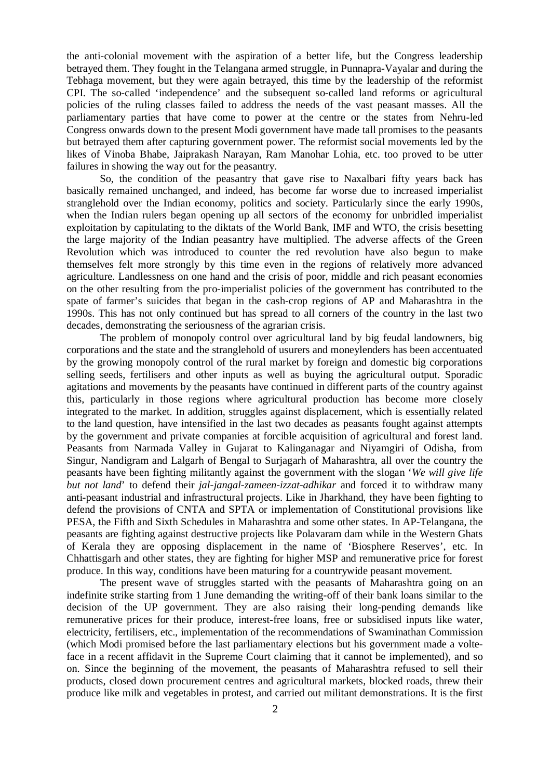the anti-colonial movement with the aspiration of a better life, but the Congress leadership betrayed them. They fought in the Telangana armed struggle, in Punnapra-Vayalar and during the Tebhaga movement, but they were again betrayed, this time by the leadership of the reformist CPI. The so-called 'independence' and the subsequent so-called land reforms or agricultural policies of the ruling classes failed to address the needs of the vast peasant masses. All the parliamentary parties that have come to power at the centre or the states from Nehru-led Congress onwards down to the present Modi government have made tall promises to the peasants but betrayed them after capturing government power. The reformist social movements led by the likes of Vinoba Bhabe, Jaiprakash Narayan, Ram Manohar Lohia, etc. too proved to be utter failures in showing the way out for the peasantry.

So, the condition of the peasantry that gave rise to Naxalbari fifty years back has basically remained unchanged, and indeed, has become far worse due to increased imperialist stranglehold over the Indian economy, politics and society. Particularly since the early 1990s, when the Indian rulers began opening up all sectors of the economy for unbridled imperialist exploitation by capitulating to the diktats of the World Bank, IMF and WTO, the crisis besetting the large majority of the Indian peasantry have multiplied. The adverse affects of the Green Revolution which was introduced to counter the red revolution have also begun to make themselves felt more strongly by this time even in the regions of relatively more advanced agriculture. Landlessness on one hand and the crisis of poor, middle and rich peasant economies on the other resulting from the pro-imperialist policies of the government has contributed to the spate of farmer's suicides that began in the cash-crop regions of AP and Maharashtra in the 1990s. This has not only continued but has spread to all corners of the country in the last two decades, demonstrating the seriousness of the agrarian crisis.

The problem of monopoly control over agricultural land by big feudal landowners, big corporations and the state and the stranglehold of usurers and moneylenders has been accentuated by the growing monopoly control of the rural market by foreign and domestic big corporations selling seeds, fertilisers and other inputs as well as buying the agricultural output. Sporadic agitations and movements by the peasants have continued in different parts of the country against this, particularly in those regions where agricultural production has become more closely integrated to the market. In addition, struggles against displacement, which is essentially related to the land question, have intensified in the last two decades as peasants fought against attempts by the government and private companies at forcible acquisition of agricultural and forest land. Peasants from Narmada Valley in Gujarat to Kalinganagar and Niyamgiri of Odisha, from Singur, Nandigram and Lalgarh of Bengal to Surjagarh of Maharashtra, all over the country the peasants have been fighting militantly against the government with the slogan '*We will give life but not land*' to defend their *jal-jangal-zameen*-*izzat-adhikar* and forced it to withdraw many anti-peasant industrial and infrastructural projects. Like in Jharkhand, they have been fighting to defend the provisions of CNTA and SPTA or implementation of Constitutional provisions like PESA, the Fifth and Sixth Schedules in Maharashtra and some other states. In AP-Telangana, the peasants are fighting against destructive projects like Polavaram dam while in the Western Ghats of Kerala they are opposing displacement in the name of 'Biosphere Reserves', etc. In Chhattisgarh and other states, they are fighting for higher MSP and remunerative price for forest produce. In this way, conditions have been maturing for a countrywide peasant movement.

The present wave of struggles started with the peasants of Maharashtra going on an indefinite strike starting from 1 June demanding the writing-off of their bank loans similar to the decision of the UP government. They are also raising their long-pending demands like remunerative prices for their produce, interest-free loans, free or subsidised inputs like water, electricity, fertilisers, etc., implementation of the recommendations of Swaminathan Commission (which Modi promised before the last parliamentary elections but his government made a volteface in a recent affidavit in the Supreme Court claiming that it cannot be implemented), and so on. Since the beginning of the movement, the peasants of Maharashtra refused to sell their products, closed down procurement centres and agricultural markets, blocked roads, threw their produce like milk and vegetables in protest, and carried out militant demonstrations. It is the first